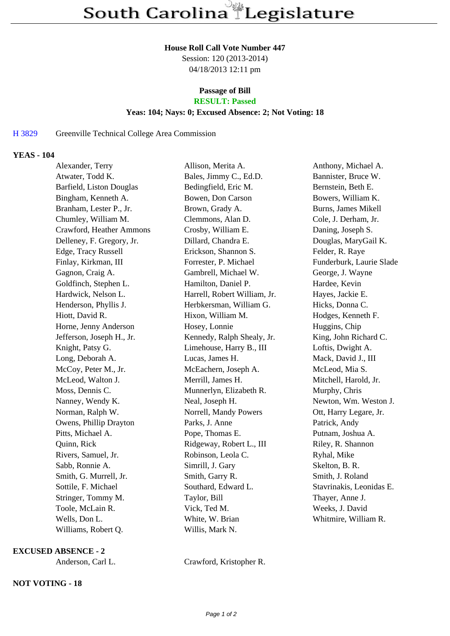#### **House Roll Call Vote Number 447**

Session: 120 (2013-2014) 04/18/2013 12:11 pm

# **Passage of Bill**

**RESULT: Passed**

## **Yeas: 104; Nays: 0; Excused Absence: 2; Not Voting: 18**

## H 3829 Greenville Technical College Area Commission

#### **YEAS - 104**

| Alexander, Terry          | Allison, Merita A.           | Anthony, Michael A.      |
|---------------------------|------------------------------|--------------------------|
| Atwater, Todd K.          | Bales, Jimmy C., Ed.D.       | Bannister, Bruce W.      |
| Barfield, Liston Douglas  | Bedingfield, Eric M.         | Bernstein, Beth E.       |
| Bingham, Kenneth A.       | Bowen, Don Carson            | Bowers, William K.       |
| Branham, Lester P., Jr.   | Brown, Grady A.              | Burns, James Mikell      |
| Chumley, William M.       | Clemmons, Alan D.            | Cole, J. Derham, Jr.     |
| Crawford, Heather Ammons  | Crosby, William E.           | Daning, Joseph S.        |
| Delleney, F. Gregory, Jr. | Dillard, Chandra E.          | Douglas, MaryGail K.     |
| Edge, Tracy Russell       | Erickson, Shannon S.         | Felder, R. Raye          |
| Finlay, Kirkman, III      | Forrester, P. Michael        | Funderburk, Laurie Slade |
| Gagnon, Craig A.          | Gambrell, Michael W.         | George, J. Wayne         |
| Goldfinch, Stephen L.     | Hamilton, Daniel P.          | Hardee, Kevin            |
| Hardwick, Nelson L.       | Harrell, Robert William, Jr. | Hayes, Jackie E.         |
| Henderson, Phyllis J.     | Herbkersman, William G.      | Hicks, Donna C.          |
| Hiott, David R.           | Hixon, William M.            | Hodges, Kenneth F.       |
| Horne, Jenny Anderson     | Hosey, Lonnie                | Huggins, Chip            |
| Jefferson, Joseph H., Jr. | Kennedy, Ralph Shealy, Jr.   | King, John Richard C.    |
| Knight, Patsy G.          | Limehouse, Harry B., III     | Loftis, Dwight A.        |
| Long, Deborah A.          | Lucas, James H.              | Mack, David J., III      |
| McCoy, Peter M., Jr.      | McEachern, Joseph A.         | McLeod, Mia S.           |
| McLeod, Walton J.         | Merrill, James H.            | Mitchell, Harold, Jr.    |
| Moss, Dennis C.           | Munnerlyn, Elizabeth R.      | Murphy, Chris            |
| Nanney, Wendy K.          | Neal, Joseph H.              | Newton, Wm. Weston J.    |
| Norman, Ralph W.          | Norrell, Mandy Powers        | Ott, Harry Legare, Jr.   |
| Owens, Phillip Drayton    | Parks, J. Anne               | Patrick, Andy            |
| Pitts, Michael A.         | Pope, Thomas E.              | Putnam, Joshua A.        |
| Quinn, Rick               | Ridgeway, Robert L., III     | Riley, R. Shannon        |
| Rivers, Samuel, Jr.       | Robinson, Leola C.           | Ryhal, Mike              |
| Sabb, Ronnie A.           | Simrill, J. Gary             | Skelton, B. R.           |
| Smith, G. Murrell, Jr.    | Smith, Garry R.              | Smith, J. Roland         |
| Sottile, F. Michael       | Southard, Edward L.          | Stavrinakis, Leonidas E. |
| Stringer, Tommy M.        | Taylor, Bill                 | Thayer, Anne J.          |
| Toole, McLain R.          | Vick, Ted M.                 | Weeks, J. David          |
| Wells, Don L.             | White, W. Brian              | Whitmire, William R.     |
| Williams, Robert Q.       | Willis, Mark N.              |                          |

## **EXCUSED ABSENCE - 2**

## **NOT VOTING - 18**

Anderson, Carl L. Crawford, Kristopher R.